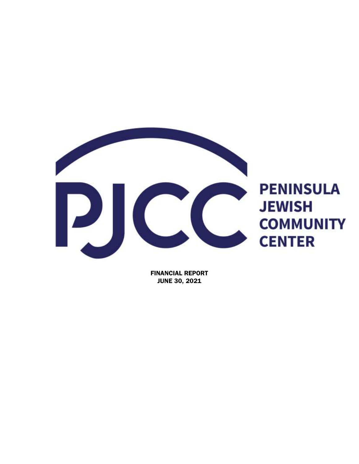

FINANCIAL REPORT JUNE 30, 2021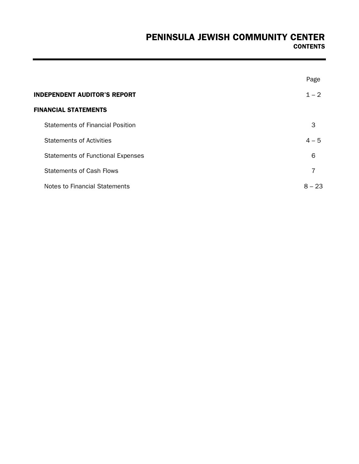|                                          | Page     |
|------------------------------------------|----------|
| <b>INDEPENDENT AUDITOR'S REPORT</b>      | $1 - 2$  |
| FINANCIAL STATEMENTS                     |          |
| <b>Statements of Financial Position</b>  | 3        |
| <b>Statements of Activities</b>          | $4 - 5$  |
| <b>Statements of Functional Expenses</b> | 6        |
| <b>Statements of Cash Flows</b>          | 7        |
| Notes to Financial Statements            | $8 - 23$ |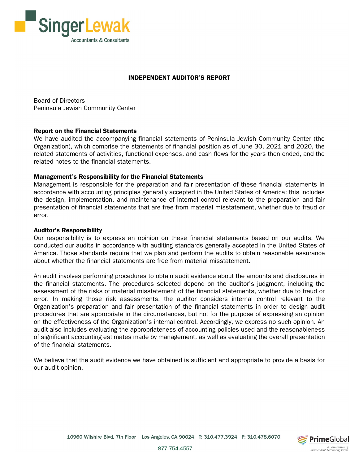

#### INDEPENDENT AUDITOR'S REPORT

Board of Directors Peninsula Jewish Community Center

#### Report on the Financial Statements

We have audited the accompanying financial statements of Peninsula Jewish Community Center (the Organization), which comprise the statements of financial position as of June 30, 2021 and 2020, the related statements of activities, functional expenses, and cash flows for the years then ended, and the related notes to the financial statements.

#### Management's Responsibility for the Financial Statements

Management is responsible for the preparation and fair presentation of these financial statements in accordance with accounting principles generally accepted in the United States of America; this includes the design, implementation, and maintenance of internal control relevant to the preparation and fair presentation of financial statements that are free from material misstatement, whether due to fraud or error.

#### Auditor's Responsibility

Our responsibility is to express an opinion on these financial statements based on our audits. We conducted our audits in accordance with auditing standards generally accepted in the United States of America. Those standards require that we plan and perform the audits to obtain reasonable assurance about whether the financial statements are free from material misstatement.

An audit involves performing procedures to obtain audit evidence about the amounts and disclosures in the financial statements. The procedures selected depend on the auditor's judgment, including the assessment of the risks of material misstatement of the financial statements, whether due to fraud or error. In making those risk assessments, the auditor considers internal control relevant to the Organization's preparation and fair presentation of the financial statements in order to design audit procedures that are appropriate in the circumstances, but not for the purpose of expressing an opinion on the effectiveness of the Organization's internal control. Accordingly, we express no such opinion. An audit also includes evaluating the appropriateness of accounting policies used and the reasonableness of significant accounting estimates made by management, as well as evaluating the overall presentation of the financial statements.

We believe that the audit evidence we have obtained is sufficient and appropriate to provide a basis for our audit opinion.

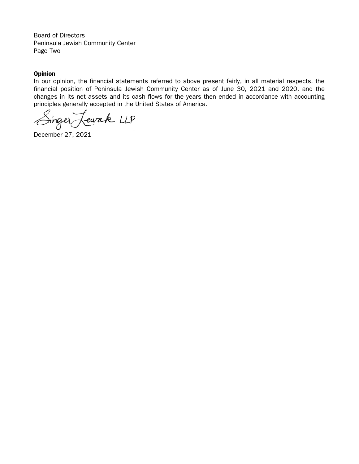Board of Directors Peninsula Jewish Community Center Page Two

#### **Opinion**

In our opinion, the financial statements referred to above present fairly, in all material respects, the financial position of Peninsula Jewish Community Center as of June 30, 2021 and 2020, and the changes in its net assets and its cash flows for the years then ended in accordance with accounting principles generally accepted in the United States of America.

ewak LLP raes.

December 27, 2021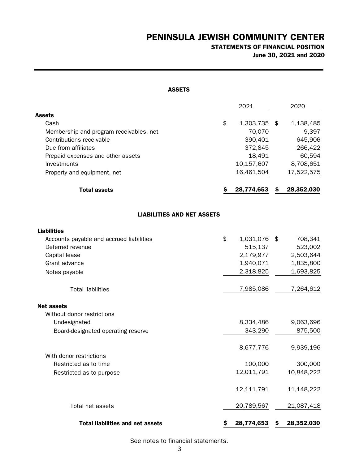## STATEMENTS OF FINANCIAL POSITION

June 30, 2021 and 2020

|                                          |    | 2021       |     | 2020       |
|------------------------------------------|----|------------|-----|------------|
| <b>Assets</b>                            |    |            |     |            |
| Cash                                     | \$ | 1,303,735  | \$  | 1,138,485  |
| Membership and program receivables, net  |    | 70,070     |     | 9,397      |
| Contributions receivable                 |    | 390,401    |     | 645,906    |
| Due from affiliates                      |    | 372,845    |     | 266,422    |
| Prepaid expenses and other assets        |    | 18,491     |     | 60,594     |
| Investments                              |    | 10,157,607 |     | 8,708,651  |
| Property and equipment, net              |    | 16,461,504 |     | 17,522,575 |
| <b>Total assets</b>                      | s  | 28,774,653 | Ş   | 28,352,030 |
| <b>LIABILITIES AND NET ASSETS</b>        |    |            |     |            |
| <b>Liabilities</b>                       |    |            |     |            |
| Accounts payable and accrued liabilities | \$ | 1,031,076  | \$  | 708,341    |
| Deferred revenue                         |    | 515,137    |     | 523,002    |
| Capital lease                            |    | 2,179,977  |     | 2,503,644  |
| Grant advance                            |    | 1,940,071  |     | 1,835,800  |
| Notes payable                            |    | 2,318,825  |     | 1,693,825  |
| <b>Total liabilities</b>                 |    | 7,985,086  |     | 7,264,612  |
| <b>Net assets</b>                        |    |            |     |            |
| Without donor restrictions               |    |            |     |            |
| Undesignated                             |    | 8,334,486  |     | 9,063,696  |
| Board-designated operating reserve       |    | 343,290    |     | 875,500    |
|                                          |    | 8,677,776  |     | 9,939,196  |
| With donor restrictions                  |    |            |     |            |
| Restricted as to time                    |    | 100,000    |     | 300,000    |
| Restricted as to purpose                 |    | 12,011,791 |     | 10,848,222 |
|                                          |    | 12,111,791 |     | 11,148,222 |
| Total net assets                         |    | 20,789,567 |     | 21,087,418 |
| <b>Total liabilities and net assets</b>  | \$ | 28,774,653 | \$. | 28,352,030 |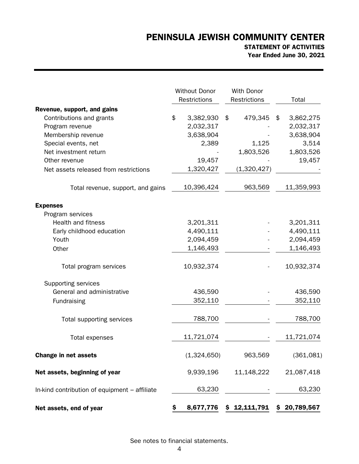#### STATEMENT OF ACTIVITIES

Year Ended June 30, 2021

|                                               | <b>Without Donor</b><br>Restrictions | With Donor<br>Restrictions            | Total           |
|-----------------------------------------------|--------------------------------------|---------------------------------------|-----------------|
| Revenue, support, and gains                   |                                      |                                       |                 |
| Contributions and grants                      | \$<br>3,382,930                      | \$<br>479,345                         | \$<br>3,862,275 |
| Program revenue                               | 2,032,317                            |                                       | 2,032,317       |
| Membership revenue                            | 3,638,904                            |                                       | 3,638,904       |
| Special events, net                           | 2,389                                | 1,125                                 | 3,514           |
| Net investment return                         |                                      | 1,803,526                             | 1,803,526       |
| Other revenue                                 | 19,457                               |                                       | 19,457          |
| Net assets released from restrictions         | 1,320,427                            | (1,320,427)                           |                 |
| Total revenue, support, and gains             | 10,396,424                           | 963,569                               | 11,359,993      |
| <b>Expenses</b>                               |                                      |                                       |                 |
| Program services                              |                                      |                                       |                 |
| <b>Health and fitness</b>                     | 3,201,311                            |                                       | 3,201,311       |
| Early childhood education                     | 4,490,111                            |                                       | 4,490,111       |
| Youth                                         | 2,094,459                            |                                       | 2,094,459       |
| Other                                         | 1,146,493                            |                                       | 1,146,493       |
| Total program services                        | 10,932,374                           |                                       | 10,932,374      |
| Supporting services                           |                                      |                                       |                 |
| General and administrative                    | 436,590                              |                                       | 436,590         |
| Fundraising                                   | 352,110                              |                                       | 352,110         |
| Total supporting services                     | 788,700                              |                                       | 788,700         |
| <b>Total expenses</b>                         | 11,721,074                           |                                       | 11,721,074      |
| <b>Change in net assets</b>                   | (1,324,650)                          | 963,569                               | (361,081)       |
| Net assets, beginning of year                 | 9,939,196                            | 11,148,222                            | 21,087,418      |
| In-kind contribution of equipment - affiliate | 63,230                               |                                       | 63,230          |
| Net assets, end of year                       | \$                                   | 8,677,776 \$ 12,111,791 \$ 20,789,567 |                 |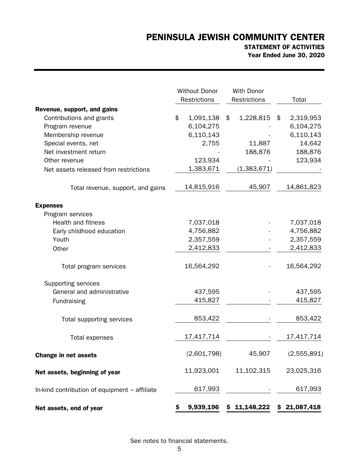#### STATEMENT OF ACTIVITIES

Year Ended June 30, 2020

|                                               | <b>Without Donor</b> |              | With Donor |                            |                 |
|-----------------------------------------------|----------------------|--------------|------------|----------------------------|-----------------|
|                                               |                      | Restrictions |            | Restrictions               | Total           |
| Revenue, support, and gains                   |                      |              |            |                            |                 |
| Contributions and grants                      | \$                   | 1,091,138    | \$         | 1,228,815                  | \$<br>2,319,953 |
| Program revenue                               |                      | 6,104,275    |            |                            | 6,104,275       |
| Membership revenue                            |                      | 6,110,143    |            |                            | 6,110,143       |
| Special events, net                           |                      | 2,755        |            | 11,887                     | 14,642          |
| Net investment return                         |                      |              |            | 188,876                    | 188,876         |
| Other revenue                                 |                      | 123,934      |            |                            | 123,934         |
| Net assets released from restrictions         |                      | 1,383,671    |            | (1,383,671)                |                 |
| Total revenue, support, and gains             |                      | 14,815,916   |            | 45,907                     | 14,861,823      |
| <b>Expenses</b>                               |                      |              |            |                            |                 |
| Program services                              |                      |              |            |                            |                 |
| <b>Health and fitness</b>                     |                      | 7,037,018    |            |                            | 7,037,018       |
| Early childhood education                     |                      | 4,756,882    |            |                            | 4,756,882       |
| Youth                                         |                      | 2,357,559    |            |                            | 2,357,559       |
| Other                                         |                      | 2,412,833    |            |                            | 2,412,833       |
| Total program services                        |                      | 16,564,292   |            |                            | 16,564,292      |
| Supporting services                           |                      |              |            |                            |                 |
| General and administrative                    |                      | 437,595      |            |                            | 437,595         |
| Fundraising                                   |                      | 415,827      |            |                            | 415,827         |
| Total supporting services                     |                      | 853,422      |            |                            | 853,422         |
| <b>Total expenses</b>                         |                      | 17,417,714   |            |                            | 17,417,714      |
| <b>Change in net assets</b>                   |                      | (2,601,798)  |            | 45,907                     | (2,555,891)     |
| Net assets, beginning of year                 |                      | 11,923,001   |            | 11,102,315                 | 23,025,316      |
| In-kind contribution of equipment - affiliate |                      | 617,993      |            |                            | 617,993         |
| Net assets, end of year                       | S                    | 9,939,196    |            | $$11,148,222 \$21,087,418$ |                 |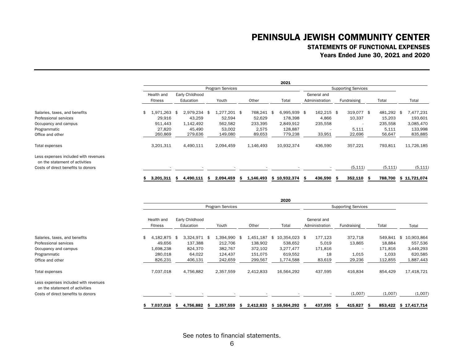STATEMENTS OF FUNCTIONAL EXPENSES

Years Ended June 30, 2021 and 2020

|                                                                        |                |                          |                  |                            | 2021                 |                          |                      |            |                       |
|------------------------------------------------------------------------|----------------|--------------------------|------------------|----------------------------|----------------------|--------------------------|----------------------|------------|-----------------------|
|                                                                        |                |                          | Program Services | <b>Supporting Services</b> |                      |                          |                      |            |                       |
|                                                                        | Health and     | Early Childhood          |                  |                            |                      | General and              |                      |            |                       |
|                                                                        | <b>Fitness</b> | Education                | Youth            | Other                      | Total                | Administration           | Fundraising          | Total      | Total                 |
| Salaries, taxes, and benefits                                          | .971.263 \$    | 2,979,234 \$             | 1,277,201 \$     | 768,241                    | 6,995,939 \$<br>- \$ | 162,215 \$               | 319,077 \$           | 481,292 \$ | 477,231               |
| Professional services                                                  | 29,916         | 43,259                   | 52,594           | 52,629                     | 178,398              | 4,866                    | 10,337               | 15,203     | 193,601               |
| Occupancy and campus                                                   | 911.443        | 1,142,492                | 562,582          | 233,395                    | 2,849,912            | 235,558                  |                      | 235,558    | 3,085,470             |
| Programmatic                                                           | 27,820         | 45,490                   | 53,002           | 2,575                      | 128,887              | $\overline{\phantom{a}}$ | 5,111                | 5,111      | 133,998               |
| Office and other                                                       | 260,869        | 279,636                  | 149,080          | 89,653                     | 779,238              | 33,951                   | 22,696               | 56,647     | 835,885               |
| Total expenses                                                         | 3,201,311      | 4,490,111                | 2,094,459        | 1,146,493                  | 10,932,374           | 436,590                  | 357,221              | 793,811    | 11,726,185            |
| Less expenses included with revenues<br>on the statement of activities |                |                          |                  |                            |                      |                          |                      |            |                       |
| Costs of direct benefits to donors                                     |                | $\overline{\phantom{a}}$ |                  |                            |                      |                          | (5, 111)             | (5, 111)   | (5, 111)              |
|                                                                        | 3,201,311      | 4,490,111<br>s           | 2,094,459<br>s   | 1,146,493<br>s             | \$10,932,374         | 436.590<br>- S           | 352.110<br>- S<br>-S |            | 788,700 \$ 11,721,074 |

|                                                                        |                              |  |                              |   |              |   |           | 2020                       |   |                               |    |                |         |                  |
|------------------------------------------------------------------------|------------------------------|--|------------------------------|---|--------------|---|-----------|----------------------------|---|-------------------------------|----|----------------|---------|------------------|
|                                                                        | Program Services             |  |                              |   |              |   |           | <b>Supporting Services</b> |   |                               |    |                |         |                  |
|                                                                        | Health and<br><b>Fitness</b> |  | Early Childhood<br>Education |   | Youth        |   | Other     | Total                      |   | General and<br>Administration |    | Fundraising    | Total   | Total            |
| Salaries, taxes, and benefits                                          | 4,182,875 \$                 |  | 3,324,971 \$                 |   | 1,394,990 \$ |   | 1,451,187 | \$<br>10,354,023 \$        |   | 177,123                       |    | 372,718        | 549,841 | 10,903,864<br>\$ |
| Professional services                                                  | 49.656                       |  | 137,388                      |   | 212,706      |   | 138,902   | 538,652                    |   | 5,019                         |    | 13,865         | 18,884  | 557,536          |
| Occupancy and campus                                                   | 1,698,238                    |  | 824,370                      |   | 382,767      |   | 372,102   | 3,277,477                  |   | 171,816                       |    |                | 171,816 | 3,449,293        |
| Programmatic                                                           | 280.018                      |  | 64,022                       |   | 124,437      |   | 151,075   | 619,552                    |   | 18                            |    | 1,015          | 1,033   | 620,585          |
| Office and other                                                       | 826,231                      |  | 406,131                      |   | 242,659      |   | 299,567   | 1,774,588                  |   | 83,619                        |    | 29,236         | 112,855 | 1,887,443        |
| Total expenses                                                         | 7,037,018                    |  | 4,756,882                    |   | 2,357,559    |   | 2,412,833 | 16,564,292                 |   | 437,595                       |    | 416,834        | 854,429 | 17,418,721       |
| Less expenses included with revenues<br>on the statement of activities |                              |  |                              |   |              |   |           |                            |   |                               |    |                |         |                  |
| Costs of direct benefits to donors                                     |                              |  |                              |   |              |   |           |                            |   | $\overline{\phantom{a}}$      |    | (1,007)        | (1,007) | (1,007)          |
|                                                                        | 7,037,018                    |  | 4,756,882                    | s | 2,357,559    | s | 2,412,833 | \$16,564,292               | S | 437,595                       | -S | 415,827<br>- S | 853.422 | \$17,417,714     |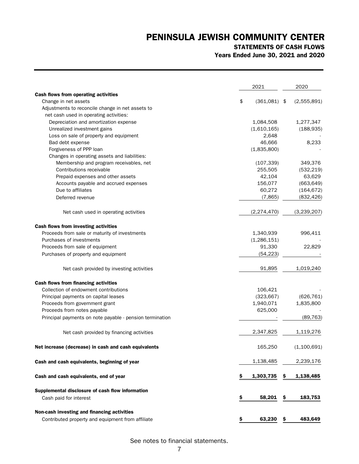### STATEMENTS OF CASH FLOWS

Years Ended June 30, 2021 and 2020

|                                                          | 2021                |    | 2020          |
|----------------------------------------------------------|---------------------|----|---------------|
| <b>Cash flows from operating activities</b>              |                     |    |               |
| Change in net assets                                     | \$<br>(361,081)     | \$ | (2,555,891)   |
| Adjustments to reconcile change in net assets to         |                     |    |               |
| net cash used in operating activities:                   |                     |    |               |
| Depreciation and amortization expense                    | 1,084,508           |    | 1,277,347     |
| Unrealized investment gains                              | (1,610,165)         |    | (188, 935)    |
| Loss on sale of property and equipment                   | 2,648               |    |               |
| Bad debt expense                                         | 46,666              |    | 8,233         |
| Forgiveness of PPP loan                                  | (1,835,800)         |    |               |
| Changes in operating assets and liabilities:             |                     |    |               |
| Membership and program receivables, net                  | (107, 339)          |    | 349,376       |
| Contributions receivable                                 | 255,505             |    | (532, 219)    |
| Prepaid expenses and other assets                        | 42,104              |    | 63,629        |
| Accounts payable and accrued expenses                    | 156,077             |    | (663, 649)    |
| Due to affiliates                                        | 60,272              |    | (164, 672)    |
| Deferred revenue                                         | (7,865)             |    | (832, 426)    |
| Net cash used in operating activities                    | (2, 274, 470)       |    | (3,239,207)   |
| <b>Cash flows from investing activities</b>              |                     |    |               |
| Proceeds from sale or maturity of investments            | 1,340,939           |    | 996,411       |
| Purchases of investments                                 | (1,286,151)         |    |               |
| Proceeds from sale of equipment                          | 91,330              |    | 22,829        |
| Purchases of property and equipment                      | (54, 223)           |    |               |
| Net cash provided by investing activities                | 91,895              |    | 1,019,240     |
| <b>Cash flows from financing activities</b>              |                     |    |               |
| Collection of endowment contributions                    | 106,421             |    |               |
| Principal payments on capital leases                     | (323, 667)          |    | (626, 761)    |
| Proceeds from government grant                           | 1,940,071           |    | 1,835,800     |
| Proceeds from notes payable                              | 625,000             |    |               |
| Principal payments on note payable - pension termination |                     |    | (89, 763)     |
| Net cash provided by financing activities                | 2,347,825           |    | 1,119,276     |
| Net increase (decrease) in cash and cash equivalents     | 165,250             |    | (1, 100, 691) |
| Cash and cash equivalents, beginning of year             | 1,138,485           |    | 2,239,176     |
| Cash and cash equivalents, end of year                   | \$<br>1,303,735     | Ş  | 1,138,485     |
| Supplemental disclosure of cash flow information         |                     |    |               |
| Cash paid for interest                                   | <u>\$</u><br>58,201 | Ş  | 183,753       |
| Non-cash investing and financing activities              |                     |    |               |
| Contributed property and equipment from affiliate        | \$<br>63,230        | \$ | 483,649       |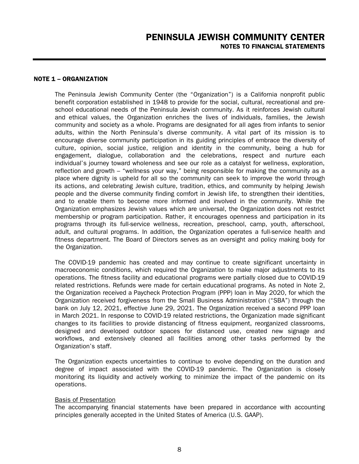### PENINSULA JEWISH COMMUNITY CENTER NOTES TO FINANCIAL STATEMENTS

#### NOTE 1 – ORGANIZATION

The Peninsula Jewish Community Center (the "Organization") is a California nonprofit public benefit corporation established in 1948 to provide for the social, cultural, recreational and preschool educational needs of the Peninsula Jewish community. As it reinforces Jewish cultural and ethical values, the Organization enriches the lives of individuals, families, the Jewish community and society as a whole. Programs are designated for all ages from infants to senior adults, within the North Peninsula's diverse community. A vital part of its mission is to encourage diverse community participation in its guiding principles of embrace the diversity of culture, opinion, social justice, religion and identity in the community, being a hub for engagement, dialogue, collaboration and the celebrations, respect and nurture each individual's journey toward wholeness and see our role as a catalyst for wellness, exploration, reflection and growth – "wellness your way," being responsible for making the community as a place where dignity is upheld for all so the community can seek to improve the world through its actions, and celebrating Jewish culture, tradition, ethics, and community by helping Jewish people and the diverse community finding comfort in Jewish life, to strengthen their identities, and to enable them to become more informed and involved in the community. While the Organization emphasizes Jewish values which are universal, the Organization does not restrict membership or program participation. Rather, it encourages openness and participation in its programs through its full-service wellness, recreation, preschool, camp, youth, afterschool, adult, and cultural programs. In addition, the Organization operates a full-service health and fitness department. The Board of Directors serves as an oversight and policy making body for the Organization.

The COVID-19 pandemic has created and may continue to create significant uncertainty in macroeconomic conditions, which required the Organization to make major adjustments to its operations. The fitness facility and educational programs were partially closed due to COVID-19 related restrictions. Refunds were made for certain educational programs. As noted in Note 2, the Organization received a Paycheck Protection Program (PPP) loan in May 2020, for which the Organization received forgiveness from the Small Business Administration ("SBA") through the bank on July 12, 2021, effective June 29, 2021. The Organization received a second PPP loan in March 2021. In response to COVID-19 related restrictions, the Organization made significant changes to its facilities to provide distancing of fitness equipment, reorganized classrooms, designed and developed outdoor spaces for distanced use, created new signage and workflows, and extensively cleaned all facilities among other tasks performed by the Organization's staff.

The Organization expects uncertainties to continue to evolve depending on the duration and degree of impact associated with the COVID-19 pandemic. The Organization is closely monitoring its liquidity and actively working to minimize the impact of the pandemic on its operations.

#### Basis of Presentation

The accompanying financial statements have been prepared in accordance with accounting principles generally accepted in the United States of America (U.S. GAAP).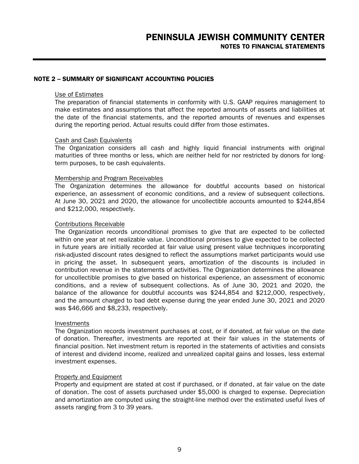NOTES TO FINANCIAL STATEMENTS

#### NOTE 2 – SUMMARY OF SIGNIFICANT ACCOUNTING POLICIES

#### Use of Estimates

The preparation of financial statements in conformity with U.S. GAAP requires management to make estimates and assumptions that affect the reported amounts of assets and liabilities at the date of the financial statements, and the reported amounts of revenues and expenses during the reporting period. Actual results could differ from those estimates.

#### Cash and Cash Equivalents

The Organization considers all cash and highly liquid financial instruments with original maturities of three months or less, which are neither held for nor restricted by donors for longterm purposes, to be cash equivalents.

#### Membership and Program Receivables

The Organization determines the allowance for doubtful accounts based on historical experience, an assessment of economic conditions, and a review of subsequent collections. At June 30, 2021 and 2020, the allowance for uncollectible accounts amounted to \$244,854 and \$212,000, respectively.

#### Contributions Receivable

The Organization records unconditional promises to give that are expected to be collected within one year at net realizable value. Unconditional promises to give expected to be collected in future years are initially recorded at fair value using present value techniques incorporating risk-adjusted discount rates designed to reflect the assumptions market participants would use in pricing the asset. In subsequent years, amortization of the discounts is included in contribution revenue in the statements of activities. The Organization determines the allowance for uncollectible promises to give based on historical experience, an assessment of economic conditions, and a review of subsequent collections. As of June 30, 2021 and 2020, the balance of the allowance for doubtful accounts was \$244,854 and \$212,000, respectively, and the amount charged to bad debt expense during the year ended June 30, 2021 and 2020 was \$46,666 and \$8,233, respectively.

#### Investments

The Organization records investment purchases at cost, or if donated, at fair value on the date of donation. Thereafter, investments are reported at their fair values in the statements of financial position. Net investment return is reported in the statements of activities and consists of interest and dividend income, realized and unrealized capital gains and losses, less external investment expenses.

#### Property and Equipment

Property and equipment are stated at cost if purchased, or if donated, at fair value on the date of donation. The cost of assets purchased under \$5,000 is charged to expense. Depreciation and amortization are computed using the straight-line method over the estimated useful lives of assets ranging from 3 to 39 years.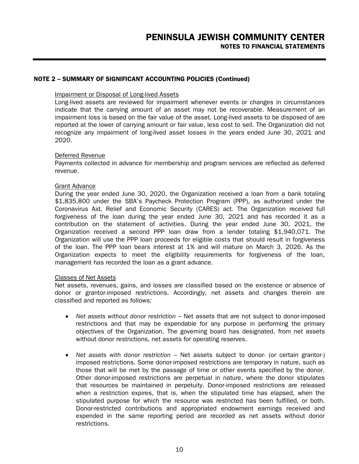#### NOTE 2 – SUMMARY OF SIGNIFICANT ACCOUNTING POLICIES (Continued)

#### Impairment or Disposal of Long-lived Assets

Long-lived assets are reviewed for impairment whenever events or changes in circumstances indicate that the carrying amount of an asset may not be recoverable. Measurement of an impairment loss is based on the fair value of the asset. Long-lived assets to be disposed of are reported at the lower of carrying amount or fair value, less cost to sell. The Organization did not recognize any impairment of long-lived asset losses in the years ended June 30, 2021 and 2020.

#### Deferred Revenue

Payments collected in advance for membership and program services are reflected as deferred revenue.

#### Grant Advance

During the year ended June 30, 2020, the Organization received a loan from a bank totaling \$1,835,800 under the SBA's Paycheck Protection Program (PPP), as authorized under the Coronavirus Aid, Relief and Economic Security (CARES) act. The Organization received full forgiveness of the loan during the year ended June 30, 2021 and has recorded it as a contribution on the statement of activities. During the year ended June 30, 2021, the Organization received a second PPP loan draw from a lender totaling \$1,940,071. The Organization will use the PPP loan proceeds for eligible costs that should result in forgiveness of the loan. The PPP loan bears interest at 1% and will mature on March 3, 2026. As the Organization expects to meet the eligibility requirements for forgiveness of the loan, management has recorded the loan as a grant advance.

#### Classes of Net Assets

Net assets, revenues, gains, and losses are classified based on the existence or absence of donor or grantor-imposed restrictions. Accordingly, net assets and changes therein are classified and reported as follows:

- *Net assets without donor restriction* Net assets that are not subject to donor-imposed restrictions and that may be expendable for any purpose in performing the primary objectives of the Organization. The governing board has designated, from net assets without donor restrictions, net assets for operating reserves.
- *Net assets with donor restriction* Net assets subject to donor- (or certain grantor-) imposed restrictions. Some donor-imposed restrictions are temporary in nature, such as those that will be met by the passage of time or other events specified by the donor. Other donor-imposed restrictions are perpetual in nature, where the donor stipulates that resources be maintained in perpetuity. Donor-imposed restrictions are released when a restriction expires, that is, when the stipulated time has elapsed, when the stipulated purpose for which the resource was restricted has been fulfilled, or both. Donor-restricted contributions and appropriated endowment earnings received and expended in the same reporting period are recorded as net assets without donor restrictions.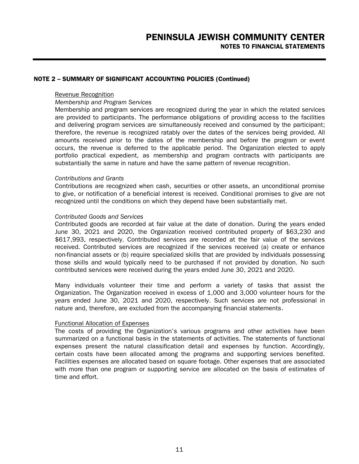#### NOTE 2 – SUMMARY OF SIGNIFICANT ACCOUNTING POLICIES (Continued)

#### Revenue Recognition

#### *Membership and Program Services*

Membership and program services are recognized during the year in which the related services are provided to participants. The performance obligations of providing access to the facilities and delivering program services are simultaneously received and consumed by the participant; therefore, the revenue is recognized ratably over the dates of the services being provided. All amounts received prior to the dates of the membership and before the program or event occurs, the revenue is deferred to the applicable period. The Organization elected to apply portfolio practical expedient, as membership and program contracts with participants are substantially the same in nature and have the same pattern of revenue recognition.

#### *Contributions and Grants*

Contributions are recognized when cash, securities or other assets, an unconditional promise to give, or notification of a beneficial interest is received. Conditional promises to give are not recognized until the conditions on which they depend have been substantially met.

#### *Contributed Goods and Services*

Contributed goods are recorded at fair value at the date of donation. During the years ended June 30, 2021 and 2020, the Organization received contributed property of \$63,230 and \$617,993, respectively. Contributed services are recorded at the fair value of the services received. Contributed services are recognized if the services received (a) create or enhance non-financial assets or (b) require specialized skills that are provided by individuals possessing those skills and would typically need to be purchased if not provided by donation. No such contributed services were received during the years ended June 30, 2021 and 2020.

Many individuals volunteer their time and perform a variety of tasks that assist the Organization. The Organization received in excess of 1,000 and 3,000 volunteer hours for the years ended June 30, 2021 and 2020, respectively. Such services are not professional in nature and, therefore, are excluded from the accompanying financial statements.

#### Functional Allocation of Expenses

The costs of providing the Organization's various programs and other activities have been summarized on a functional basis in the statements of activities. The statements of functional expenses present the natural classification detail and expenses by function. Accordingly, certain costs have been allocated among the programs and supporting services benefited. Facilities expenses are allocated based on square footage. Other expenses that are associated with more than one program or supporting service are allocated on the basis of estimates of time and effort.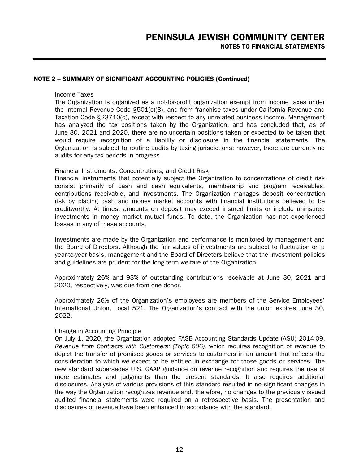#### NOTE 2 – SUMMARY OF SIGNIFICANT ACCOUNTING POLICIES (Continued)

#### Income Taxes

The Organization is organized as a not-for-profit organization exempt from income taxes under the Internal Revenue Code §501(c)(3), and from franchise taxes under California Revenue and Taxation Code §23710(d), except with respect to any unrelated business income. Management has analyzed the tax positions taken by the Organization, and has concluded that, as of June 30, 2021 and 2020, there are no uncertain positions taken or expected to be taken that would require recognition of a liability or disclosure in the financial statements. The Organization is subject to routine audits by taxing jurisdictions; however, there are currently no audits for any tax periods in progress.

#### Financial Instruments, Concentrations, and Credit Risk

Financial instruments that potentially subject the Organization to concentrations of credit risk consist primarily of cash and cash equivalents, membership and program receivables, contributions receivable, and investments. The Organization manages deposit concentration risk by placing cash and money market accounts with financial institutions believed to be creditworthy. At times, amounts on deposit may exceed insured limits or include uninsured investments in money market mutual funds. To date, the Organization has not experienced losses in any of these accounts.

Investments are made by the Organization and performance is monitored by management and the Board of Directors. Although the fair values of investments are subject to fluctuation on a year-to-year basis, management and the Board of Directors believe that the investment policies and guidelines are prudent for the long-term welfare of the Organization.

Approximately 26% and 93% of outstanding contributions receivable at June 30, 2021 and 2020, respectively, was due from one donor.

Approximately 26% of the Organization's employees are members of the Service Employees' International Union, Local 521. The Organization's contract with the union expires June 30, 2022.

#### Change in Accounting Principle

On July 1, 2020, the Organization adopted FASB Accounting Standards Update (ASU) 2014-09, *Revenue from Contracts with Customers: (Topic 606),* which requires recognition of revenue to depict the transfer of promised goods or services to customers in an amount that reflects the consideration to which we expect to be entitled in exchange for those goods or services. The new standard supersedes U.S. GAAP guidance on revenue recognition and requires the use of more estimates and judgments than the present standards. It also requires additional disclosures. Analysis of various provisions of this standard resulted in no significant changes in the way the Organization recognizes revenue and, therefore, no changes to the previously issued audited financial statements were required on a retrospective basis. The presentation and disclosures of revenue have been enhanced in accordance with the standard.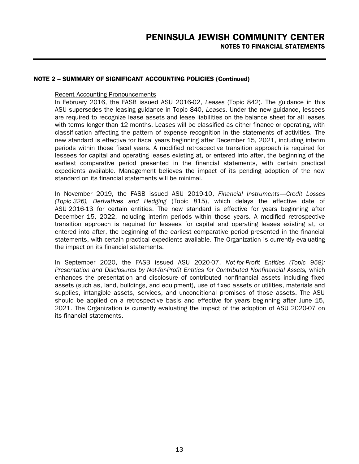#### NOTE 2 – SUMMARY OF SIGNIFICANT ACCOUNTING POLICIES (Continued)

#### Recent Accounting Pronouncements

In February 2016, the FASB issued ASU 2016-02, *Leases* (Topic 842). The guidance in this ASU supersedes the leasing guidance in Topic 840, *Leases*. Under the new guidance, lessees are required to recognize lease assets and lease liabilities on the balance sheet for all leases with terms longer than 12 months. Leases will be classified as either finance or operating, with classification affecting the pattern of expense recognition in the statements of activities. The new standard is effective for fiscal years beginning after December 15, 2021, including interim periods within those fiscal years. A modified retrospective transition approach is required for lessees for capital and operating leases existing at, or entered into after, the beginning of the earliest comparative period presented in the financial statements, with certain practical expedients available. Management believes the impact of its pending adoption of the new standard on its financial statements will be minimal.

In November 2019, the FASB issued ASU 2019-10, *Financial Instruments—Credit Losses (Topic 326), Derivatives and Hedging* (Topic 815), which delays the effective date of ASU 2016-13 for certain entities. The new standard is effective for years beginning after December 15, 2022, including interim periods within those years. A modified retrospective transition approach is required for lessees for capital and operating leases existing at, or entered into after, the beginning of the earliest comparative period presented in the financial statements, with certain practical expedients available. The Organization is currently evaluating the impact on its financial statements.

In September 2020, the FASB issued ASU 2020-07, *Not-for-Profit Entities (Topic 958): Presentation and Disclosures by Not-for-Profit Entities for Contributed Nonfinancial Assets,* which enhances the presentation and disclosure of contributed nonfinancial assets including fixed assets (such as, land, buildings, and equipment), use of fixed assets or utilities, materials and supplies, intangible assets, services, and unconditional promises of those assets. The ASU should be applied on a retrospective basis and effective for years beginning after June 15, 2021. The Organization is currently evaluating the impact of the adoption of ASU 2020-07 on its financial statements.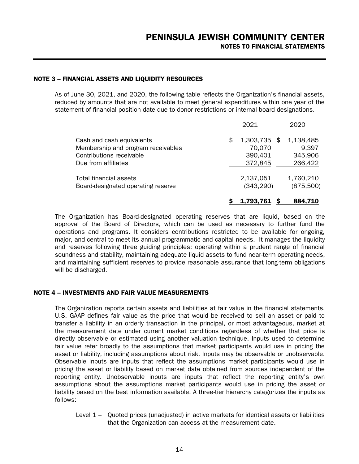#### NOTE 3 – FINANCIAL ASSETS AND LIQUIDITY RESOURCES

As of June 30, 2021, and 2020, the following table reflects the Organization's financial assets, reduced by amounts that are not available to meet general expenditures within one year of the statement of financial position date due to donor restrictions or internal board designations.

|                                                                                                                    | 2021                                               | 2020                                     |
|--------------------------------------------------------------------------------------------------------------------|----------------------------------------------------|------------------------------------------|
| Cash and cash equivalents<br>Membership and program receivables<br>Contributions receivable<br>Due from affiliates | \$<br>1,303,735 \$<br>70,070<br>390,401<br>372,845 | 1,138,485<br>9,397<br>345,906<br>266,422 |
| Total financial assets<br>Board-designated operating reserve                                                       | 2,137,051<br>(343,290)                             | 1,760,210<br>(875,500)                   |
|                                                                                                                    | 1.793.761                                          | 884.710                                  |

The Organization has Board-designated operating reserves that are liquid, based on the approval of the Board of Directors, which can be used as necessary to further fund the operations and programs. It considers contributions restricted to be available for ongoing, major, and central to meet its annual programmatic and capital needs. It manages the liquidity and reserves following three guiding principles: operating within a prudent range of financial soundness and stability, maintaining adequate liquid assets to fund near-term operating needs, and maintaining sufficient reserves to provide reasonable assurance that long-term obligations will be discharged.

#### NOTE 4 – INVESTMENTS AND FAIR VALUE MEASUREMENTS

The Organization reports certain assets and liabilities at fair value in the financial statements. U.S. GAAP defines fair value as the price that would be received to sell an asset or paid to transfer a liability in an orderly transaction in the principal, or most advantageous, market at the measurement date under current market conditions regardless of whether that price is directly observable or estimated using another valuation technique. Inputs used to determine fair value refer broadly to the assumptions that market participants would use in pricing the asset or liability, including assumptions about risk. Inputs may be observable or unobservable. Observable inputs are inputs that reflect the assumptions market participants would use in pricing the asset or liability based on market data obtained from sources independent of the reporting entity. Unobservable inputs are inputs that reflect the reporting entity's own assumptions about the assumptions market participants would use in pricing the asset or liability based on the best information available. A three-tier hierarchy categorizes the inputs as follows:

Level 1 – Quoted prices (unadjusted) in active markets for identical assets or liabilities that the Organization can access at the measurement date.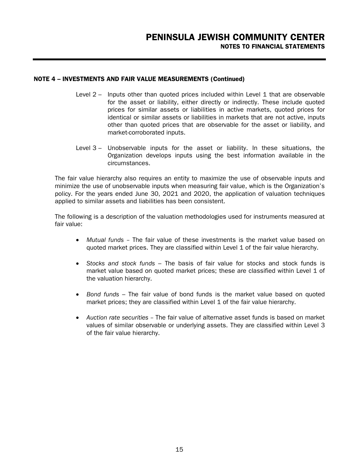#### NOTE 4 – INVESTMENTS AND FAIR VALUE MEASUREMENTS (Continued)

- Level 2 Inputs other than quoted prices included within Level 1 that are observable for the asset or liability, either directly or indirectly. These include quoted prices for similar assets or liabilities in active markets, quoted prices for identical or similar assets or liabilities in markets that are not active, inputs other than quoted prices that are observable for the asset or liability, and market-corroborated inputs.
- Level 3 Unobservable inputs for the asset or liability. In these situations, the Organization develops inputs using the best information available in the circumstances.

The fair value hierarchy also requires an entity to maximize the use of observable inputs and minimize the use of unobservable inputs when measuring fair value, which is the Organization's policy. For the years ended June 30, 2021 and 2020, the application of valuation techniques applied to similar assets and liabilities has been consistent.

The following is a description of the valuation methodologies used for instruments measured at fair value:

- *Mutual funds –* The fair value of these investments is the market value based on quoted market prices. They are classified within Level 1 of the fair value hierarchy.
- *Stocks and stock funds* The basis of fair value for stocks and stock funds is market value based on quoted market prices; these are classified within Level 1 of the valuation hierarchy.
- *Bond funds* The fair value of bond funds is the market value based on quoted market prices; they are classified within Level 1 of the fair value hierarchy.
- *Auction rate securities –* The fair value of alternative asset funds is based on market values of similar observable or underlying assets. They are classified within Level 3 of the fair value hierarchy.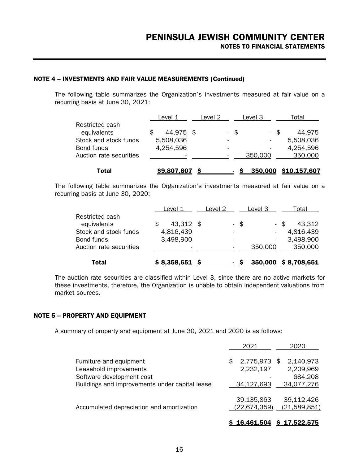#### NOTE 4 – INVESTMENTS AND FAIR VALUE MEASUREMENTS (Continued)

The following table summarizes the Organization's investments measured at fair value on a recurring basis at June 30, 2021:

|                         | Level 1     | Level 2                  | Level 3                  | Total          |
|-------------------------|-------------|--------------------------|--------------------------|----------------|
| Restricted cash         |             |                          |                          |                |
| equivalents             | 44,975 \$   |                          | - \$                     | 44.975<br>- \$ |
| Stock and stock funds   | 5,508,036   | $\qquad \qquad$          | $\overline{\phantom{0}}$ | 5,508,036      |
| <b>Bond funds</b>       | 4,254,596   | $\overline{\phantom{0}}$ |                          | 4,254,596      |
| Auction rate securities |             |                          | 350,000                  | 350,000        |
|                         |             |                          |                          |                |
| Total                   | \$9,807,607 |                          | 350,000                  | \$10,157,607   |

The following table summarizes the Organization's investments measured at fair value on a recurring basis at June 30, 2020:

|                         | Level 1         | Level 2 | Level 3                | Total              |
|-------------------------|-----------------|---------|------------------------|--------------------|
| Restricted cash         |                 |         |                        |                    |
| equivalents             | 43,312 \$       |         | - \$                   | 43,312<br>- \$     |
| Stock and stock funds   | 4,816,439       |         |                        | 4,816,439          |
| <b>Bond funds</b>       | 3,498,900       | ۰       |                        | 3,498,900          |
| Auction rate securities |                 |         | 350,000                | 350,000            |
| Total                   | $$8,358,651$ \$ |         | 35 <u>0,000</u><br>- S | <u>\$8,708,651</u> |

The auction rate securities are classified within Level 3, since there are no active markets for these investments, therefore, the Organization is unable to obtain independent valuations from market sources.

#### NOTE 5 – PROPERTY AND EQUIPMENT

A summary of property and equipment at June 30, 2021 and 2020 is as follows:

|                                                                                                                                  | 2021                                          | 2020                                              |
|----------------------------------------------------------------------------------------------------------------------------------|-----------------------------------------------|---------------------------------------------------|
| Furniture and equipment<br>Leasehold improvements<br>Software development cost<br>Buildings and improvements under capital lease | 2,775,973 \$<br>\$<br>2,232,197<br>34,127,693 | 2,140,973<br>2,209,969<br>684,208<br>34,077,276   |
| Accumulated depreciation and amortization                                                                                        | 39,135,863<br>(22,674,359)<br>16.461.504      | 39,112,426<br>(21,589,851)<br><u>\$17,522,575</u> |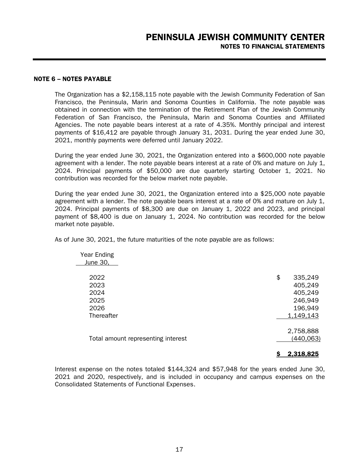#### NOTE 6 – NOTES PAYABLE

The Organization has a \$2,158,115 note payable with the Jewish Community Federation of San Francisco, the Peninsula, Marin and Sonoma Counties in California. The note payable was obtained in connection with the termination of the Retirement Plan of the Jewish Community Federation of San Francisco, the Peninsula, Marin and Sonoma Counties and Affiliated Agencies. The note payable bears interest at a rate of 4.35%. Monthly principal and interest payments of \$16,412 are payable through January 31, 2031. During the year ended June 30, 2021, monthly payments were deferred until January 2022.

During the year ended June 30, 2021, the Organization entered into a \$600,000 note payable agreement with a lender. The note payable bears interest at a rate of 0% and mature on July 1, 2024. Principal payments of \$50,000 are due quarterly starting October 1, 2021. No contribution was recorded for the below market note payable.

During the year ended June 30, 2021, the Organization entered into a \$25,000 note payable agreement with a lender. The note payable bears interest at a rate of 0% and mature on July 1, 2024. Principal payments of \$8,300 are due on January 1, 2022 and 2023, and principal payment of \$8,400 is due on January 1, 2024. No contribution was recorded for the below market note payable.

As of June 30, 2021, the future maturities of the note payable are as follows:

| Year Ending                        |               |
|------------------------------------|---------------|
| June 30,                           |               |
|                                    |               |
| 2022                               | \$<br>335,249 |
| 2023                               | 405,249       |
| 2024                               | 405,249       |
| 2025                               | 246,949       |
| 2026                               | 196,949       |
| Thereafter                         | 1,149,143     |
|                                    |               |
|                                    | 2,758,888     |
| Total amount representing interest | (440,063)     |
|                                    |               |

#### \$ 2,318,825

Interest expense on the notes totaled \$144,324 and \$57,948 for the years ended June 30, 2021 and 2020, respectively, and is included in occupancy and campus expenses on the Consolidated Statements of Functional Expenses.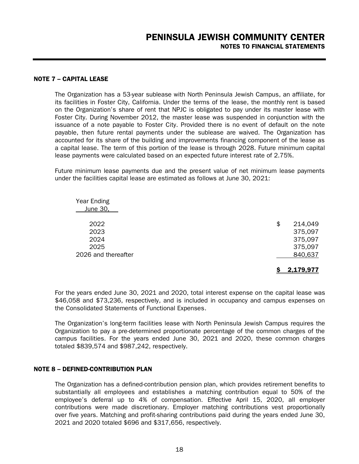NOTES TO FINANCIAL STATEMENTS

#### NOTE 7 – CAPITAL LEASE

The Organization has a 53-year sublease with North Peninsula Jewish Campus, an affiliate, for its facilities in Foster City, California. Under the terms of the lease, the monthly rent is based on the Organization's share of rent that NPJC is obligated to pay under its master lease with Foster City. During November 2012, the master lease was suspended in conjunction with the issuance of a note payable to Foster City. Provided there is no event of default on the note payable, then future rental payments under the sublease are waived. The Organization has accounted for its share of the building and improvements financing component of the lease as a capital lease. The term of this portion of the lease is through 2028. Future minimum capital lease payments were calculated based on an expected future interest rate of 2.75%.

Future minimum lease payments due and the present value of net minimum lease payments under the facilities capital lease are estimated as follows at June 30, 2021:

| Year Ending         |               |
|---------------------|---------------|
| June 30,            |               |
| 2022                | \$<br>214,049 |
| 2023                | 375,097       |
| 2024                | 375,097       |
| 2025                | 375,097       |
| 2026 and thereafter | 840,637       |
|                     | 2,179,977     |

For the years ended June 30, 2021 and 2020, total interest expense on the capital lease was \$46,058 and \$73,236, respectively, and is included in occupancy and campus expenses on the Consolidated Statements of Functional Expenses.

The Organization's long-term facilities lease with North Peninsula Jewish Campus requires the Organization to pay a pre-determined proportionate percentage of the common charges of the campus facilities. For the years ended June 30, 2021 and 2020, these common charges totaled \$839,574 and \$987,242, respectively.

#### NOTE 8 – DEFINED-CONTRIBUTION PLAN

The Organization has a defined-contribution pension plan, which provides retirement benefits to substantially all employees and establishes a matching contribution equal to 50% of the employee's deferral up to 4% of compensation. Effective April 15, 2020, all employer contributions were made discretionary. Employer matching contributions vest proportionally over five years. Matching and profit-sharing contributions paid during the years ended June 30, 2021 and 2020 totaled \$696 and \$317,656, respectively.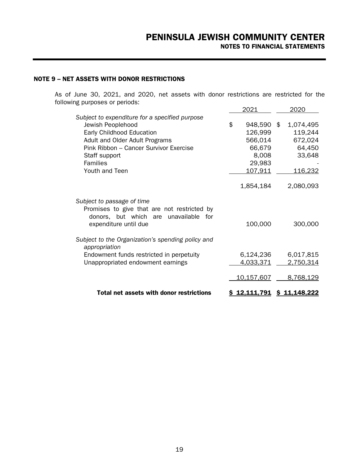NOTES TO FINANCIAL STATEMENTS

#### NOTE 9 – NET ASSETS WITH DONOR RESTRICTIONS

As of June 30, 2021, and 2020, net assets with donor restrictions are restricted for the following purposes or periods:

|                                                                                                                                                                                                                             | 2021 |                                                                                       | 2020 |                                                                                    |
|-----------------------------------------------------------------------------------------------------------------------------------------------------------------------------------------------------------------------------|------|---------------------------------------------------------------------------------------|------|------------------------------------------------------------------------------------|
| Subject to expenditure for a specified purpose<br>Jewish Peoplehood<br>Early Childhood Education<br>Adult and Older Adult Programs<br>Pink Ribbon - Cancer Survivor Exercise<br>Staff support<br>Families<br>Youth and Teen | \$   | 948,590 \$<br>126,999<br>566,014<br>66,679<br>8,008<br>29,983<br>107,911<br>1,854,184 |      | 1,074,495<br>119,244<br>672,024<br>64,450<br>33,648<br><u>116,232</u><br>2,080,093 |
| Subject to passage of time<br>Promises to give that are not restricted by<br>donors, but which are unavailable for<br>expenditure until due                                                                                 |      | 100,000                                                                               |      | 300,000                                                                            |
| Subject to the Organization's spending policy and<br>appropriation<br>Endowment funds restricted in perpetuity<br>Unappropriated endowment earnings                                                                         |      | 6,124,236<br>4,033,371                                                                |      | 6,017,815<br>2,750,314                                                             |
|                                                                                                                                                                                                                             |      | 10,157,607                                                                            |      | 8,768,129                                                                          |
| Total net assets with donor restrictions                                                                                                                                                                                    |      |                                                                                       |      | <u>\$12,111,791 \$11,148,222</u>                                                   |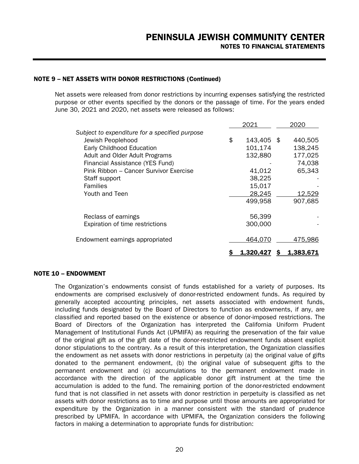#### NOTE 9 – NET ASSETS WITH DONOR RESTRICTIONS (Continued)

Net assets were released from donor restrictions by incurring expenses satisfying the restricted purpose or other events specified by the donors or the passage of time. For the years ended June 30, 2021 and 2020, net assets were released as follows:

|                                                                                                                                                                                                                        | 2021                                             |   | 2020                                              |
|------------------------------------------------------------------------------------------------------------------------------------------------------------------------------------------------------------------------|--------------------------------------------------|---|---------------------------------------------------|
| Subject to expenditure for a specified purpose<br>Jewish Peoplehood<br><b>Early Childhood Education</b><br>Adult and Older Adult Programs<br>Financial Assistance (YES Fund)<br>Pink Ribbon – Cancer Survivor Exercise | \$<br>143,405 \$<br>101,174<br>132,880<br>41,012 |   | 440,505<br>138,245<br>177,025<br>74,038<br>65,343 |
| Staff support<br><b>Families</b><br>Youth and Teen                                                                                                                                                                     | 38,225<br>15,017<br>28,245<br>499,958            |   | 12,529<br>907,685                                 |
| Reclass of earnings<br>Expiration of time restrictions                                                                                                                                                                 | 56,399<br>300,000                                |   |                                                   |
| Endowment earnings appropriated                                                                                                                                                                                        | 464,070                                          |   | 475,986                                           |
|                                                                                                                                                                                                                        | 1,320,427                                        | s | <u>1,383,671</u>                                  |

#### NOTE 10 – ENDOWMENT

The Organization's endowments consist of funds established for a variety of purposes. Its endowments are comprised exclusively of donor-restricted endowment funds. As required by generally accepted accounting principles, net assets associated with endowment funds, including funds designated by the Board of Directors to function as endowments, if any, are classified and reported based on the existence or absence of donor-imposed restrictions. The Board of Directors of the Organization has interpreted the California Uniform Prudent Management of Institutional Funds Act (UPMIFA) as requiring the preservation of the fair value of the original gift as of the gift date of the donor-restricted endowment funds absent explicit donor stipulations to the contrary. As a result of this interpretation, the Organization classifies the endowment as net assets with donor restrictions in perpetuity (a) the original value of gifts donated to the permanent endowment, (b) the original value of subsequent gifts to the permanent endowment and (c) accumulations to the permanent endowment made in accordance with the direction of the applicable donor gift instrument at the time the accumulation is added to the fund. The remaining portion of the donor-restricted endowment fund that is not classified in net assets with donor restriction in perpetuity is classified as net assets with donor restrictions as to time and purpose until those amounts are appropriated for expenditure by the Organization in a manner consistent with the standard of prudence prescribed by UPMIFA. In accordance with UPMIFA, the Organization considers the following factors in making a determination to appropriate funds for distribution: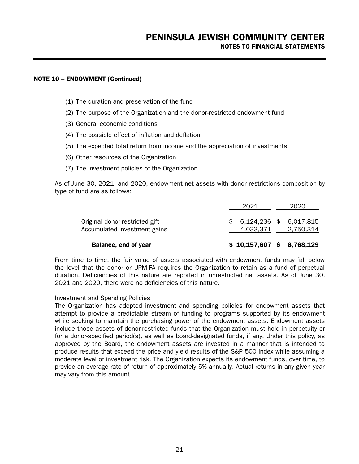NOTES TO FINANCIAL STATEMENTS

#### NOTE 10 – ENDOWMENT (Continued)

- (1) The duration and preservation of the fund
- (2) The purpose of the Organization and the donor-restricted endowment fund
- (3) General economic conditions
- (4) The possible effect of inflation and deflation
- (5) The expected total return from income and the appreciation of investments
- (6) Other resources of the Organization
- (7) The investment policies of the Organization

As of June 30, 2021, and 2020, endowment net assets with donor restrictions composition by type of fund are as follows:

|                                                                | 2021                                   | 2020      |
|----------------------------------------------------------------|----------------------------------------|-----------|
| Original donor-restricted gift<br>Accumulated investment gains | $$6,124,236$ \$ 6,017,815<br>4,033,371 | 2,750,314 |

#### Balance, end of year <br> 5 10,157,607 \$ 8,768,129

From time to time, the fair value of assets associated with endowment funds may fall below the level that the donor or UPMIFA requires the Organization to retain as a fund of perpetual duration. Deficiencies of this nature are reported in unrestricted net assets. As of June 30, 2021 and 2020, there were no deficiencies of this nature.

#### Investment and Spending Policies

The Organization has adopted investment and spending policies for endowment assets that attempt to provide a predictable stream of funding to programs supported by its endowment while seeking to maintain the purchasing power of the endowment assets. Endowment assets include those assets of donor-restricted funds that the Organization must hold in perpetuity or for a donor-specified period(s), as well as board-designated funds, if any. Under this policy, as approved by the Board, the endowment assets are invested in a manner that is intended to produce results that exceed the price and yield results of the S&P 500 index while assuming a moderate level of investment risk. The Organization expects its endowment funds, over time, to provide an average rate of return of approximately 5% annually. Actual returns in any given year may vary from this amount.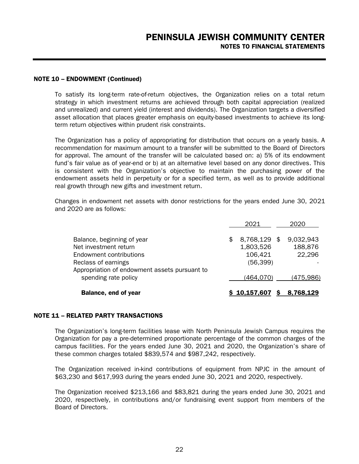#### NOTE 10 – ENDOWMENT (Continued)

To satisfy its long-term rate-of-return objectives, the Organization relies on a total return strategy in which investment returns are achieved through both capital appreciation (realized and unrealized) and current yield (interest and dividends). The Organization targets a diversified asset allocation that places greater emphasis on equity-based investments to achieve its longterm return objectives within prudent risk constraints.

The Organization has a policy of appropriating for distribution that occurs on a yearly basis. A recommendation for maximum amount to a transfer will be submitted to the Board of Directors for approval. The amount of the transfer will be calculated based on: a) 5% of its endowment fund's fair value as of year-end or b) at an alternative level based on any donor directives. This is consistent with the Organization's objective to maintain the purchasing power of the endowment assets held in perpetuity or for a specified term, as well as to provide additional real growth through new gifts and investment return.

Changes in endowment net assets with donor restrictions for the years ended June 30, 2021 and 2020 are as follows:

|                                               |   | 2021         | 2020      |
|-----------------------------------------------|---|--------------|-----------|
| Balance, beginning of year                    | S | 8,768,129 \$ | 9,032,943 |
| Net investment return                         |   | 1,803,526    | 188,876   |
| Endowment contributions                       |   | 106,421      | 22,296    |
| Reclass of earnings                           |   | (56, 399)    |           |
| Appropriation of endowment assets pursuant to |   |              |           |
| spending rate policy                          |   | (464,070)    | (475,986) |
| <b>Balance, end of year</b>                   |   | \$10,157,607 | 8.768.129 |

#### NOTE 11 – RELATED PARTY TRANSACTIONS

The Organization's long-term facilities lease with North Peninsula Jewish Campus requires the Organization for pay a pre-determined proportionate percentage of the common charges of the campus facilities. For the years ended June 30, 2021 and 2020, the Organization's share of these common charges totaled \$839,574 and \$987,242, respectively.

The Organization received in-kind contributions of equipment from NPJC in the amount of \$63,230 and \$617,993 during the years ended June 30, 2021 and 2020, respectively.

The Organization received \$213,166 and \$83,821 during the years ended June 30, 2021 and 2020, respectively, in contributions and/or fundraising event support from members of the Board of Directors.